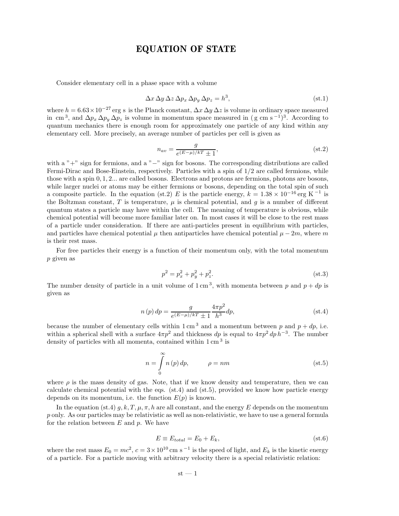# EQUATION OF STATE

Consider elementary cell in a phase space with a volume

$$
\Delta x \, \Delta y \, \Delta z \, \Delta p_x \, \Delta p_y \, \Delta p_z = h^3,\tag{st.1}
$$

where  $h = 6.63 \times 10^{-27}$  erg s is the Planck constant,  $\Delta x \Delta y \Delta z$  is volume in ordinary space measured in cm<sup>3</sup>, and  $\Delta p_x \Delta p_y \Delta p_z$  is volume in momentum space measured in (g cm s<sup>-1</sup>)<sup>3</sup>. According to quantum mechanics there is enough room for approximately one particle of any kind within any elementary cell. More precisely, an average number of particles per cell is given as

$$
n_{av} = \frac{g}{e^{(E-\mu)/kT} \pm 1},\tag{st.2}
$$

with a "+" sign for fermions, and a "−" sign for bosons. The corresponding distributions are called Fermi-Dirac and Bose-Einstein, respectively. Particles with a spin of  $1/2$  are called fermions, while those with a spin 0, 1, 2... are called bosons. Electrons and protons are fermions, photons are bosons, while larger nuclei or atoms may be either fermions or bosons, depending on the total spin of such a composite particle. In the equation (st.2) E is the particle energy,  $k = 1.38 \times 10^{-16}$  erg K<sup>-1</sup> is the Boltzman constant, T is temperature,  $\mu$  is chemical potential, and q is a number of different quantum states a particle may have within the cell. The meaning of temperature is obvious, while chemical potential will become more familiar later on. In most cases it will be close to the rest mass of a particle under consideration. If there are anti-particles present in equilibrium with particles, and particles have chemical potential  $\mu$  then antiparticles have chemical potential  $\mu - 2m$ , where m is their rest mass.

For free particles their energy is a function of their momentum only, with the total momentum p given as

$$
p^2 = p_x^2 + p_y^2 + p_z^2.
$$
 (st.3)

The number density of particle in a unit volume of  $1 \text{ cm}^3$ , with momenta between p and  $p + dp$  is given as

$$
n(p) dp = \frac{g}{e^{(E-\mu)/kT} \pm 1} \frac{4\pi p^2}{h^3} dp,
$$
 (st.4)

because the number of elementary cells within  $1 \text{ cm}^3$  and a momentum between p and  $p + dp$ , i.e. within a spherical shell with a surface  $4\pi p^2$  and thickness dp is equal to  $4\pi p^2 dp h^{-3}$ . The number density of particles with all momenta, contained within  $1 \text{ cm}^3$  is

$$
n = \int_{0}^{\infty} n(p) dp, \qquad \rho = nm
$$
 (st.5)

where  $\rho$  is the mass density of gas. Note, that if we know density and temperature, then we can calculate chemical potential with the eqs.  $(st.4)$  and  $(st.5)$ , provided we know how particle energy depends on its momentum, i.e. the function  $E(p)$  is known.

In the equation (st.4)  $g, k, T, \mu, \pi, h$  are all constant, and the energy E depends on the momentum p only. As our particles may be relativistic as well as non-relativistic, we have to use a general formula for the relation between  $E$  and  $p$ . We have

$$
E \equiv E_{total} = E_0 + E_k, \tag{st.6}
$$

where the rest mass  $E_0 = mc^2$ ,  $c = 3 \times 10^{10}$  cm s<sup>-1</sup> is the speed of light, and  $E_k$  is the kinetic energy of a particle. For a particle moving with arbitrary velocity there is a special relativistic relation: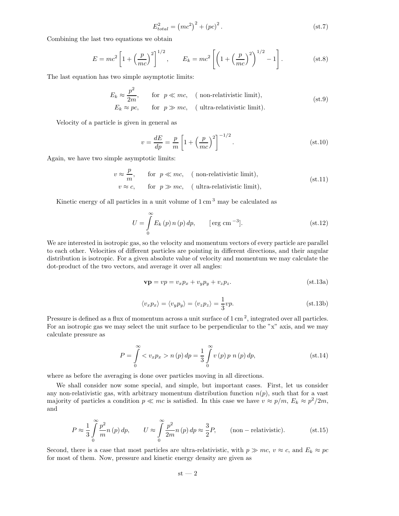$$
E_{total}^2 = (mc^2)^2 + (pc)^2.
$$
 (st.7)

Combining the last two equations we obtain

$$
E = mc^{2} \left[ 1 + \left(\frac{p}{mc}\right)^{2} \right]^{1/2}, \qquad E_{k} = mc^{2} \left[ \left( 1 + \left(\frac{p}{mc}\right)^{2} \right)^{1/2} - 1 \right].
$$
 (st.8)

The last equation has two simple asymptotic limits:

$$
E_k \approx \frac{p^2}{2m}, \qquad \text{for} \quad p \ll mc, \quad \text{(non-relativistic limit)},
$$
  
\n
$$
E_k \approx pc, \qquad \text{for} \quad p \gg mc, \quad \text{(ultra-relativistic limit)}.
$$
 (st.9)

Velocity of a particle is given in general as

$$
v = \frac{dE}{dp} = \frac{p}{m} \left[ 1 + \left(\frac{p}{mc}\right)^2 \right]^{-1/2}.
$$
 (st.10)

Again, we have two simple asymptotic limits:

$$
v \approx \frac{p}{m}, \quad \text{for } p \ll mc, \quad \text{(non-relativistic limit)},
$$
  
\n
$$
v \approx c, \quad \text{for } p \gg mc, \quad \text{(ultra-relativistic limit)}, \tag{st.11}
$$

Kinetic energy of all particles in a unit volume of  $1 \text{ cm}^3$  may be calculated as

$$
U = \int_{0}^{\infty} E_k(p) n(p) dp, \qquad [\text{erg cm}^{-3}]. \qquad (st.12)
$$

We are interested in isotropic gas, so the velocity and momentum vectors of every particle are parallel to each other. Velocities of different particles are pointing in different directions, and their angular distribution is isotropic. For a given absolute value of velocity and momentum we may calculate the dot-product of the two vectors, and average it over all angles:

$$
\mathbf{v}\mathbf{p} = vp = v_x p_x + v_y p_y + v_z p_z. \tag{st.13a}
$$

$$
\langle v_x p_x \rangle = \langle v_y p_y \rangle = \langle v_z p_z \rangle = \frac{1}{3} v p. \tag{st.13b}
$$

Pressure is defined as a flux of momentum across a unit surface of  $1 \text{ cm}^2$ , integrated over all particles. For an isotropic gas we may select the unit surface to be perpendicular to the "x" axis, and we may calculate pressure as

$$
P = \int_{0}^{\infty} \langle v_x p_x \rangle n(p) dp = \frac{1}{3} \int_{0}^{\infty} v(p) p n(p) dp,
$$
 (st.14)

where as before the averaging is done over particles moving in all directions.

We shall consider now some special, and simple, but important cases. First, let us consider any non-relativistic gas, with arbitrary momentum distribution function  $n(p)$ , such that for a vast majority of particles a condition  $p \ll mc$  is satisfied. In this case we have  $v \approx p/m$ ,  $E_k \approx p^2/2m$ , and

$$
P \approx \frac{1}{3} \int_{0}^{\infty} \frac{p^2}{m} n(p) dp, \qquad U \approx \int_{0}^{\infty} \frac{p^2}{2m} n(p) dp \approx \frac{3}{2} P, \qquad \text{(non-relativistic)}.
$$
 (st.15)

Second, there is a case that most particles are ultra-relativistic, with  $p \gg mc$ ,  $v \approx c$ , and  $E_k \approx pc$ for most of them. Now, pressure and kinetic energy density are given as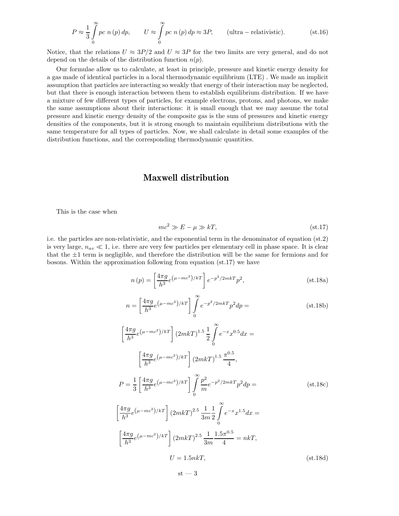$$
P \approx \frac{1}{3} \int_{0}^{\infty} pc \ n(p) \, dp, \qquad U \approx \int_{0}^{\infty} pc \ n(p) \, dp \approx 3P, \qquad \text{(ultra - relativistic)}.
$$
 (st.16)

Notice, that the relations  $U \approx 3P/2$  and  $U \approx 3P$  for the two limits are very general, and do not depend on the details of the distribution function  $n(p)$ .

Our formulae allow us to calculate, at least in principle, pressure and kinetic energy density for a gas made of identical particles in a local thermodynamic equilibrium (LTE) . We made an implicit assumption that particles are interacting so weakly that energy of their interaction may be neglected, but that there is enough interaction between them to establish equilibrium distribution. If we have a mixture of few different types of particles, for example electrons, protons, and photons, we make the same assumptions about their interactions: it is small enough that we may assume the total pressure and kinetic energy density of the composite gas is the sum of pressures and kinetic energy densities of the components, but it is strong enough to maintain equilibrium distributions with the same temperature for all types of particles. Now, we shall calculate in detail some examples of the distribution functions, and the corresponding thermodynamic quantities.

### Maxwell distribution

This is the case when

$$
mc^2 \gg E - \mu \gg kT, \tag{st.17}
$$

i.e. the particles are non-relativistic, and the exponential term in the denominator of equation (st.2) is very large,  $n_{av} \ll 1$ , i.e. there are very few particles per elementary cell in phase space. It is clear that the  $\pm 1$  term is negligible, and therefore the distribution will be the same for fermions and for bosons. Within the approximation following from equation (st.17) we have

$$
n(p) = \left[\frac{4\pi g}{h^3} e^{\left(\mu - mc^2\right)/kT}\right] e^{-p^2/2mkT} p^2,
$$
 (st.18a)

$$
n = \left[\frac{4\pi g}{h^3} e^{(\mu - mc^2)/kT}\right] \int_0^\infty e^{-p^2/2mkT} p^2 dp =
$$
 (st.18b)

$$
\left[\frac{4\pi g}{h^3}e^{(\mu - mc^2)/kT}\right](2mkT)^{1.5}\frac{1}{2}\int_{0}^{\infty}e^{-x}x^{0.5}dx =
$$
\n
$$
\left[\frac{4\pi g}{h^3}e^{(\mu - mc^2)/kT}\right](2mkT)^{1.5}\frac{\pi^{0.5}}{4},
$$
\n
$$
P = \frac{1}{3}\left[\frac{4\pi g}{h^3}e^{(\mu - mc^2)/kT}\right]\int_{0}^{\infty}\frac{p^2}{m}e^{-p^2/2mkT}p^2dp =
$$
\n
$$
\left[\frac{4\pi g}{h^3}e^{(\mu - mc^2)/kT}\right](2mkT)^{2.5}\frac{1}{3m}\frac{1}{2}\int_{0}^{\infty}e^{-x}x^{1.5}dx =
$$
\n
$$
\left[\frac{4\pi g}{h^3}e^{(\mu - mc^2)/kT}\right](2mkT)^{2.5}\frac{1}{3m}\frac{1.5\pi^{0.5}}{4} = nkT,
$$

$$
U = 1.5nkT, \t\t (st.18d)
$$

$$
\mathrm{st} - 3
$$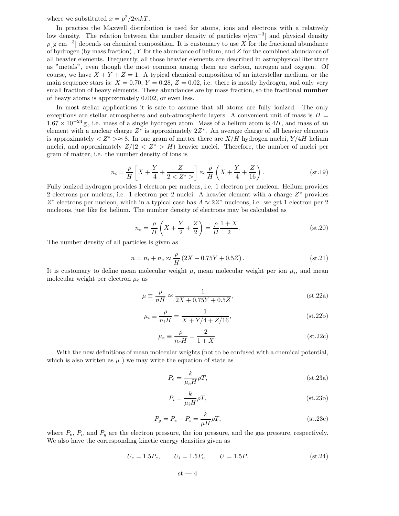where we substituted  $x = p^2/2mkT$ .

In practice the Maxwell distribution is used for atoms, ions and electrons with a relatively low density. The relation between the number density of particles  $n[cm^{-3}]$  and physical density  $\rho$ [g cm<sup>-3</sup>] depends on chemical composition. It is customary to use X for the fractional abundance of hydrogen (by mass fraction) , Y for the abundance of helium, and Z for the combined abundance of all heavier elements. Frequently, all those heavier elements are described in astrophysical literature as "metals", even though the most common among them are carbon, nitrogen and oxygen. Of course, we have  $X + Y + Z = 1$ . A typical chemical composition of an interstellar medium, or the main sequence stars is:  $X = 0.70$ ,  $Y = 0.28$ ,  $Z = 0.02$ , i.e. there is mostly hydrogen, and only very small fraction of heavy elements. These abundances are by mass fraction, so the fractional **number** of heavy atoms is approximately 0.002, or even less.

In most stellar applications it is safe to assume that all atoms are fully ionized. The only exceptions are stellar atmospheres and sub-atmospheric layers. A convenient unit of mass is  $H =$  $1.67 \times 10^{-24}$  g, i.e. mass of a single hydrogen atom. Mass of a helium atom is 4H, and mass of an element with a nuclear charge  $Z^*$  is approximately  $2Z^*$ . An average charge of all heavier elements is approximately  $\langle Z^* \rangle \approx 8$ . In one gram of matter there are  $X/H$  hydrogen nuclei,  $Y/4H$  helium nuclei, and approximately  $Z/(2 < Z^* > H)$  heavier nuclei. Therefore, the number of nuclei per gram of matter, i.e. the number density of ions is

$$
n_i = \frac{\rho}{H} \left[ X + \frac{Y}{4} + \frac{Z}{2 < Z^*} \right] \approx \frac{\rho}{H} \left( X + \frac{Y}{4} + \frac{Z}{16} \right). \tag{st.19}
$$

Fully ionized hydrogen provides 1 electron per nucleus, i.e. 1 electron per nucleon. Helium provides 2 electrons per nucleus, i.e. 1 electron per 2 nuclei. A heavier element with a charge  $Z^*$  provides  $Z^*$  electrons per nucleon, which in a typical case has  $A \approx 2Z^*$  nucleons, i.e. we get 1 electron per 2 nucleons, just like for helium. The number density of electrons may be calculated as

$$
n_e = \frac{\rho}{H} \left( X + \frac{Y}{2} + \frac{Z}{2} \right) = \frac{\rho}{H} \frac{1+X}{2}.
$$
 (st.20)

The number density of all particles is given as

$$
n = n_i + n_e \approx \frac{\rho}{H} (2X + 0.75Y + 0.5Z). \tag{st.21}
$$

It is customary to define mean molecular weight  $\mu$ , mean molecular weight per ion  $\mu_i$ , and mean molecular weight per electron  $\mu_e$  as

$$
\mu \equiv \frac{\rho}{nH} \approx \frac{1}{2X + 0.75Y + 0.5Z},\tag{st.22a}
$$

$$
\mu_i \equiv \frac{\rho}{n_i H} = \frac{1}{X + Y/4 + Z/16},
$$
\n(st.22b)

$$
\mu_e \equiv \frac{\rho}{n_e H} = \frac{2}{1+X}.\tag{st.22c}
$$

With the new definitions of mean molecular weights (not to be confused with a chemical potential, which is also written as  $\mu$ ) we may write the equation of state as

$$
P_e = \frac{k}{\mu_e H} \rho T, \qquad (st.23a)
$$

$$
P_i = \frac{k}{\mu_i H} \rho T, \qquad (st.23b)
$$

$$
P_g = P_e + P_i = \frac{k}{\mu H} \rho T, \qquad (st.23c)
$$

where  $P_e$ ,  $P_i$ , and  $P_g$  are the electron pressure, the ion pressure, and the gas pressure, respectively. We also have the corresponding kinetic energy densities given as

$$
U_e = 1.5P_e, \t U_i = 1.5P_i, \t U = 1.5P.
$$
\n
$$
(st.24)
$$

$$
\mathrm{st} - 4
$$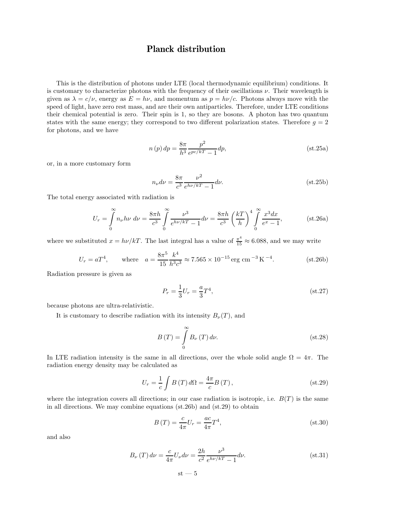# Planck distribution

This is the distribution of photons under LTE (local thermodynamic equilibrium) conditions. It is customary to characterize photons with the frequency of their oscillations  $\nu$ . Their wavelength is given as  $\lambda = c/\nu$ , energy as  $E = h\nu$ , and momentum as  $p = h\nu/c$ . Photons always move with the speed of light, have zero rest mass, and are their own antiparticles. Therefore, under LTE conditions their chemical potential is zero. Their spin is 1, so they are bosons. A photon has two quantum states with the same energy; they correspond to two different polarization states. Therefore  $g = 2$ for photons, and we have

$$
n(p) dp = \frac{8\pi}{h^3} \frac{p^2}{e^{pc/kT} - 1} dp,
$$
 (st.25a)

or, in a more customary form

$$
n_{\nu}d\nu = \frac{8\pi}{c^3} \frac{\nu^2}{e^{h\nu/kT} - 1} d\nu.
$$
 (st.25b)

The total energy associated with radiation is

$$
U_r = \int_0^\infty n_\nu h \nu \, d\nu = \frac{8\pi h}{c^3} \int_0^\infty \frac{\nu^3}{e^{h\nu/k} - 1} d\nu = \frac{8\pi h}{c^3} \left(\frac{k}{h}\right)^4 \int_0^\infty \frac{x^3 dx}{e^x - 1},
$$
 (st.26a)

where we substituted  $x = h\nu/kT$ . The last integral has a value of  $\frac{\pi^4}{15} \approx 6.088$ , and we may write

$$
U_r = aT^4, \qquad \text{where} \quad a = \frac{8\pi^5}{15} \frac{k^4}{h^3 c^3} \approx 7.565 \times 10^{-15} \text{ erg cm}^{-3} \text{ K}^{-4}. \tag{st.26b}
$$

Radiation pressure is given as

$$
P_r = \frac{1}{3}U_r = \frac{a}{3}T^4,
$$
\n(st.27)

because photons are ultra-relativistic.

It is customary to describe radiation with its intensity  $B_{\nu}(T)$ , and

$$
B(T) = \int_{0}^{\infty} B_{\nu}(T) d\nu.
$$
 (st.28)

In LTE radiation intensity is the same in all directions, over the whole solid angle  $\Omega = 4\pi$ . The radiation energy density may be calculated as

$$
U_r = \frac{1}{c} \int B(T) d\Omega = \frac{4\pi}{c} B(T), \qquad (st.29)
$$

where the integration covers all directions; in our case radiation is isotropic, i.e.  $B(T)$  is the same in all directions. We may combine equations (st.26b) and (st.29) to obtain

$$
B(T) = \frac{c}{4\pi}U_r = \frac{ac}{4\pi}T^4,
$$
\n
$$
(st.30)
$$

and also

$$
B_{\nu}(T) d\nu = \frac{c}{4\pi} U_{\nu} d\nu = \frac{2h}{c^2} \frac{\nu^3}{e^{h\nu/kT} - 1} d\nu.
$$
 (st.31)

$$
\mathrm{st} \mathbin{\text{--}} 5
$$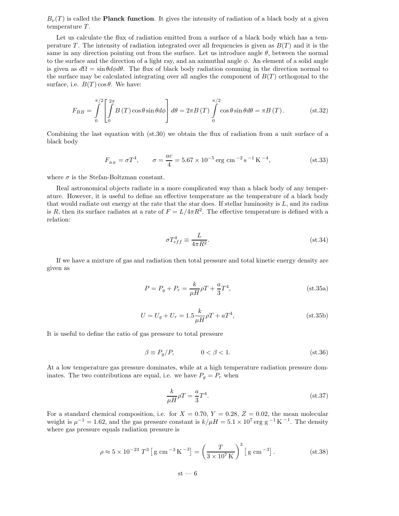$B_{\nu}(T)$  is called the **Planck function**. It gives the intensity of radiation of a black body at a given temperature T.

Let us calculate the flux of radiation emitted from a surface of a black body which has a temperature T. The intensity of radiation integrated over all frequencies is given as  $B(T)$  and it is the same in any direction pointing out from the surface. Let us introduce angle  $\theta$ , between the normal to the surface and the direction of a light ray, and an azimuthal angle  $\phi$ . An element of a solid angle is given as  $d\Omega = \sin\theta d\phi d\theta$ . The flux of black body radiation comming in the direction normal to the surface may be calculated integrating over all angles the component of  $B(T)$  orthogonal to the surface, i.e.  $B(T) \cos \theta$ . We have:

$$
F_{BB} = \int_{0}^{\pi/2} \left[ \int_{0}^{2\pi} B(T) \cos \theta \sin \theta d\phi \right] d\theta = 2\pi B(T) \int_{0}^{\pi/2} \cos \theta \sin \theta d\theta = \pi B(T). \quad (st.32)
$$

Combining the last equation with (st.30) we obtain the flux of radiation from a unit surface of a black body

$$
F_{_{BB}} = \sigma T^4, \qquad \sigma = \frac{ac}{4} = 5.67 \times 10^{-5} \,\text{erg cm}^{-2} \,\text{s}^{-1} \,\text{K}^{-4}, \tag{st.33}
$$

where  $\sigma$  is the Stefan-Boltzman constant.

Real astronomical objects radiate in a more complicated way than a black body of any temperature. However, it is useful to define an effective temperature as the temperature of a black body that would radiate out energy at the rate that the star does. If stellar luminosity is  $L$ , and its radius is R, then its surface radiates at a rate of  $F = L/4\pi R^2$ . The effective temperature is defined with a relation:

$$
\sigma T_{eff}^4 \equiv \frac{L}{4\pi R^2}.\tag{st.34}
$$

If we have a mixture of gas and radiation then total pressure and total kinetic energy density are given as

$$
P = P_g + P_r = \frac{k}{\mu H} \rho T + \frac{a}{3} T^4,
$$
 (st.35a)

$$
U = U_g + U_r = 1.5 \frac{k}{\mu H} \rho T + aT^4,
$$
 (st.35b)

It is useful to define the ratio of gas pressure to total pressure

$$
\beta \equiv P_g/P, \qquad \qquad 0 < \beta < 1. \tag{st.36}
$$

At a low temperature gas pressure dominates, while at a high temperature radiation pressure dominates. The two contributions are equal, i.e. we have  $P_g = P_r$  when

$$
\frac{k}{\mu H} \rho T = \frac{a}{3} T^4.
$$
\n
$$
(st.37)
$$

For a standard chemical composition, i.e. for  $X = 0.70, Y = 0.28, Z = 0.02$ , the mean molecular weight is  $\mu^{-1} = 1.62$ , and the gas pressure constant is  $k/\mu H = 5.1 \times 10^7$  erg g<sup>-1</sup> K<sup>-1</sup>. The density where gas pressure equals radiation pressure is

$$
\rho \approx 5 \times 10^{-23} \, T^3 \left[ \, \text{g cm}^{-3} \, \text{K}^{-3} \right] = \left( \frac{T}{3 \times 10^7 \, \text{K}} \right)^3 \left[ \, \text{g cm}^{-3} \right]. \tag{st.38}
$$

 $st - 6$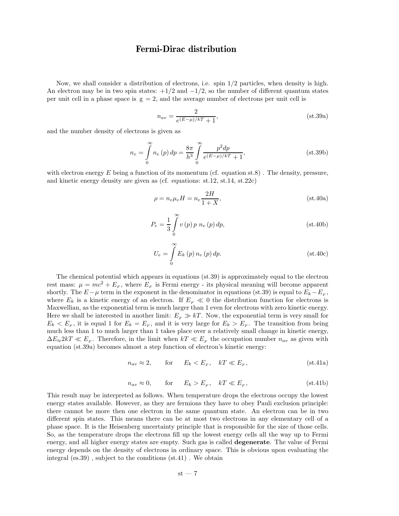### Fermi-Dirac distribution

Now, we shall consider a distribution of electrons, i.e. spin 1/2 particles, when density is high. An electron may be in two spin states:  $+1/2$  and  $-1/2$ , so the number of different quantum states per unit cell in a phase space is  $g = 2$ , and the average number of electrons per unit cell is

$$
n_{av} = \frac{2}{e^{(E-\mu)/kT} + 1},
$$
 (st.39a)

and the number density of electrons is given as

$$
n_e = \int_0^\infty n_e(p) \, dp = \frac{8\pi}{h^3} \int_0^\infty \frac{p^2 dp}{e^{(E-\mu)/kT} + 1},\tag{st.39b}
$$

with electron energy E being a function of its momentum (cf. equation st.8). The density, pressure, and kinetic energy density are given as (cf. equations: st.12, st.14, st.22c)

$$
\rho = n_e \mu_e H = n_e \frac{2H}{1+X},
$$
\n<sup>(st.40a)</sup>

$$
P_e = \frac{1}{3} \int_{0}^{\infty} v(p) p \, n_e(p) \, dp,
$$
 (st.40b)

$$
U_e = \int_{0}^{\infty} E_k(p) n_e(p) dp.
$$
 (st.40c)

The chemical potential which appears in equations (st.39) is approximately equal to the electron rest mass:  $\mu = mc^2 + E_F$ , where  $E_F$  is Fermi energy - its physical meaning will become apparent shortly. The  $E-\mu$  term in the exponent in the denominator in equations (st.39) is equal to  $E_k-E_F$ , where  $E_k$  is a kinetic energy of an electron. If  $E_F \ll 0$  the distribution function for electrons is Maxwellian, as the exponential term is much larger than 1 even for electrons with zero kinetic energy. Here we shall be interested in another limit:  $E<sub>F</sub> \gg kT$ . Now, the exponential term is very small for  $E_k < E_F$ , it is equal 1 for  $E_k = E_F$ , and it is very large for  $E_k > E_F$ . The transition from being much less than 1 to much larger than 1 takes place over a relatively small change in kinetic energy,  $\Delta E_{\approx} 2kT \ll E_{F}$ . Therefore, in the limit when  $kT \ll E_{F}$  the occupation number  $n_{av}$  as given with equation (st.39a) becomes almost a step function of electron's kinetic energy:

$$
n_{av} \approx 2, \qquad \text{for} \qquad E_k < E_F, \qquad kT \ll E_F,\tag{st.41a}
$$

$$
n_{av} \approx 0, \qquad \text{for} \qquad E_k > E_F, \quad kT \ll E_F,\tag{st.41b}
$$

This result may be interpreted as follows. When temperature drops the electrons occupy the lowest energy states available. However, as they are fermions they have to obey Pauli exclusion principle: there cannot be more then one electron in the same quantum state. An electron can be in two different spin states. This means there can be at most two electrons in any elementary cell of a phase space. It is the Heisenberg uncertainty principle that is responsible for the size of those cells. So, as the temperature drops the electrons fill up the lowest energy cells all the way up to Fermi energy, and all higher energy states are empty. Such gas is called degenerate. The value of Fermi energy depends on the density of electrons in ordinary space. This is obvious upon evaluating the integral (es.39) , subject to the conditions (st.41) . We obtain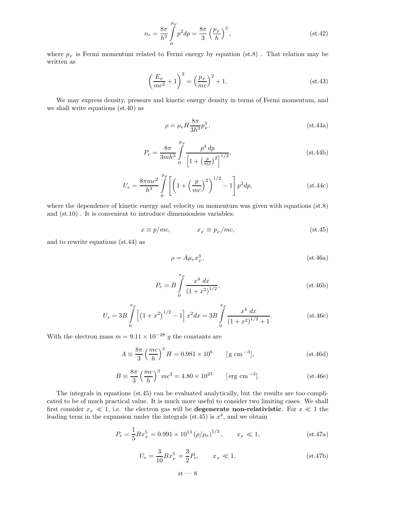$$
n_e = \frac{8\pi}{h^3} \int_0^{p_F} p^2 dp = \frac{8\pi}{3} \left(\frac{p_F}{h}\right)^3,
$$
 (st.42)

where  $p_F$  is Fermi momentum related to Fermi energy by equation (st.8). That relation may be written as

$$
\left(\frac{E_F}{mc^2} + 1\right)^2 = \left(\frac{p_F}{mc}\right)^2 + 1.
$$
 (st.43)

We may express density, pressure and kinetic energy density in terms of Fermi momentum, and we shall write equations (st.40) as

$$
\rho = \mu_e H \frac{8\pi}{3h^3} p_F^3, \qquad (st.44a)
$$

$$
P_e = \frac{8\pi}{3mh^3} \int_{0}^{p_F} \frac{p^4 dp}{\left[1 + \left(\frac{p}{mc}\right)^2\right]^{1/2}},
$$
 (st.44b)

$$
U_e = \frac{8\pi mc^2}{h^3} \int_{0}^{p_F} \left[ \left( 1 + \left( \frac{p}{mc} \right)^2 \right)^{1/2} - 1 \right] p^2 dp, \tag{st.44c}
$$

where the dependence of kinetic energy and velocity on momentum was given with equations (st.8) and  $(st.10)$ . It is convenient to introduce dimensionless variables:

$$
x \equiv p/mc, \qquad x_F \equiv p_F/mc, \qquad (st.45)
$$

and to rewrite equations (st.44) as

$$
\rho = A\mu_e x_F^3, \tag{st.46a}
$$

$$
P_e = B \int_0^{x_F} \frac{x^4 dx}{\left(1 + x^2\right)^{1/2}},
$$
 (st.46b)

$$
U_e = 3B \int_0^{x_F} \left[ \left( 1 + x^2 \right)^{1/2} - 1 \right] x^2 dx = 3B \int_0^{x_F} \frac{x^4 dx}{\left( 1 + x^2 \right)^{1/2} + 1}.
$$
 (st.46c)

With the electron mass  $m = 9.11 \times 10^{-28}$  g the constants are

$$
A \equiv \frac{8\pi}{3} \left(\frac{mc}{h}\right)^3 H = 0.981 \times 10^6 \qquad [g \text{ cm}^{-3}], \qquad (st.46d)
$$

$$
B = \frac{8\pi}{3} \left(\frac{mc}{h}\right)^3 mc^2 = 4.80 \times 10^{23} \qquad [\text{erg cm}^{-3}]. \qquad (st.46e)
$$

The integrals in equations (st.45) can be evaluated analytically, but the results are too complicated to be of much practical value. It is much more useful to consider two limiting cases. We shall first consider  $x_F \ll 1$ , i.e. the electron gas will be **degenerate non-relativistic**. For  $x \ll 1$  the leading term in the expansion under the integrals (st.45) is  $x^4$ , and we obtain

$$
P_e = \frac{1}{5} B x_F^5 = 0.991 \times 10^{13} \left( \rho / \mu_e \right)^{5/3}, \qquad x_F \ll 1,
$$
 (st.47a)

$$
U_e = \frac{3}{10} B x_F^5 = \frac{3}{2} P_e, \qquad x_F \ll 1.
$$
 (st.47b)

$$
\mathrm{st} - 8
$$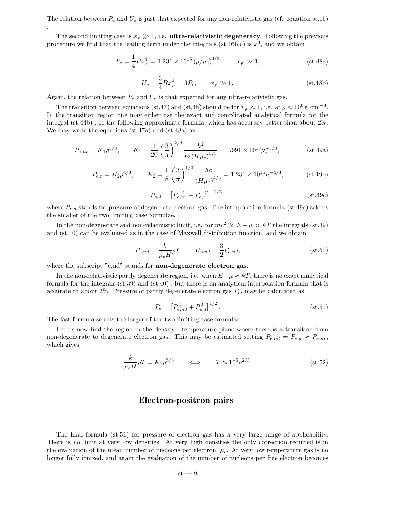The relation between  $P_e$  and  $U_e$  is just that expected for any non-relativistic gas (cf. equation st.15)

The second limiting case is  $x_F \gg 1$ , i.e. **ultra-relativistic degeneracy**. Following the previous procedure we find that the leading term under the integrals (st.46b,c) is  $x^3$ , and we obtain

$$
P_e = \frac{1}{4} B x_F^4 = 1.231 \times 10^{15} \left( \rho / \mu_e \right)^{4/3}, \qquad x_F \gg 1,
$$
 (st.48a)

$$
U_e = \frac{3}{4} B x_F^4 = 3P_e, \qquad x_F \gg 1,
$$
 (st.48b)

Again, the relation between  $P_e$  and  $U_e$  is that expected for any ultra-relativistic gas.

.

The transition between equations (st.47) and (st.48) should be for  $x_F \approx 1$ , i.e. at  $\rho \approx 10^6$  g cm<sup>-3</sup>. In the transition region one may either use the exact and complicated analytical formula for the integral (st.44b) , or the following approximate formula, which has accuracy better than about 2%. We may write the equations (st.47a) and (st.48a) as

$$
P_{e,nr} = K_1 \rho^{5/3}, \qquad K_1 = \frac{1}{20} \left(\frac{3}{\pi}\right)^{2/3} \frac{h^2}{m \left(H\mu_e\right)^{5/3}} = 0.991 \times 10^{13} \mu_e^{-5/3}, \qquad (st.49a)
$$

$$
P_{e,r} = K_2 \rho^{4/3}, \qquad K_2 = \frac{1}{8} \left(\frac{3}{\pi}\right)^{1/3} \frac{hc}{\left(H\mu_e\right)^{4/3}} = 1.231 \times 10^{15} \mu_e^{-4/3}, \qquad (st.49b)
$$

$$
P_{e,d} = \left[ P_{e,nr}^{-2} + P_{e,r}^{-2} \right]^{-1/2},\tag{st.49c}
$$

where  $P_{e,d}$  stands for pressure of degenerate electron gas. The interpolation formula (st.49c) selects the smaller of the two limiting case formulae.

In the non-degenerate and non-relativistic limit, i.e. for  $mc^2 \gg E - \mu \gg kT$  the integrals (st.39) and (st.40) can be evaluated as in the case of Maxwell distribution function, and we obtain

$$
P_{e,nd} = \frac{k}{\mu_e H} \rho T, \qquad U_{e,nd} = \frac{3}{2} P_{e,nd}, \qquad (st.50)
$$

where the subscript "e,nd" stands for **non-degenerate electron gas.** 

In the non-relativistic partly degenerate region, i.e. when  $E-\mu \approx kT$ , there is no exact analytical formula for the integrals  $(st.39)$  and  $(st.40)$ , but there is an analytical interpolation formula that is accurate to about 2%. Pressure of partly degenerate electron gas  $P_e$ , may be calculated as

$$
P_e = \left[ P_{e,nd}^2 + P_{e,d}^2 \right]^{1/2}.
$$
 (st.51)

The last formula selects the larger of the two limiting case formulae.

Let us now find the region in the density - temperature plane where there is a transition from non-degenerate to degenerate electron gas. This may be estimated setting  $P_{e,nd} = P_{e,d} \approx P_{e,nr}$ , which gives

$$
\frac{k}{\mu_e H} \rho T = K_1 \rho^{5/3} \qquad \Longleftrightarrow \qquad T \approx 10^5 \rho^{2/3}.
$$
 (st.52)

#### Electron-positron pairs

The final formula (st.51) for pressure of electron gas has a very large range of applicability. There is no limit at very low densities. At very high densities the only correction required is in the evaluation of the mean number of nucleons per electron,  $\mu_e$ . At very low temperature gas is no longer fully ionized, and again the evaluation of the number of nucleons per free electron becomes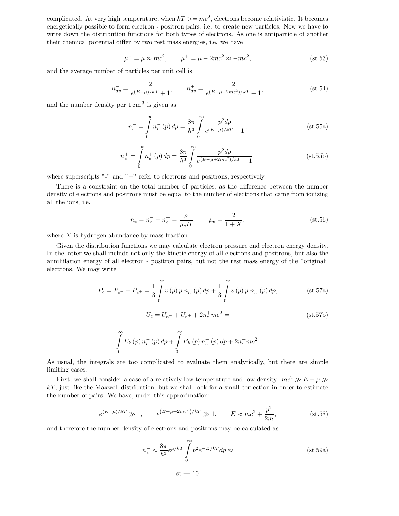complicated. At very high temperature, when  $kT \geq mc^2$ , electrons become relativistic. It becomes energetically possible to form electron - positron pairs, i.e. to create new particles. Now we have to write down the distribution functions for both types of electrons. As one is antiparticle of another their chemical potential differ by two rest mass energies, i.e. we have

$$
\mu^{-} = \mu \approx mc^{2}, \qquad \mu^{+} = \mu - 2mc^{2} \approx -mc^{2}, \qquad (st.53)
$$

and the average number of particles per unit cell is

$$
n_{av}^- = \frac{2}{e^{(E-\mu)/k}+1}, \qquad n_{av}^+ = \frac{2}{e^{(E-\mu+2mc^2)/k}+1},
$$
 (st.54)

and the number density per  $1 \text{ cm}^3$  is given as

$$
n_e^- = \int_0^\infty n_e^- (p) \, dp = \frac{8\pi}{h^3} \int_0^\infty \frac{p^2 dp}{e^{(E-\mu)/kT} + 1},\tag{st.55a}
$$

$$
n_e^+ = \int_0^\infty n_e^+ (p) \, dp = \frac{8\pi}{h^3} \int_0^\infty \frac{p^2 dp}{e^{(E - \mu + 2mc^2)/k} + 1},\tag{st.55b}
$$

where superscripts "-" and " $+$ " refer to electrons and positrons, respectively.

There is a constraint on the total number of particles, as the difference between the number density of electrons and positrons must be equal to the number of electrons that came from ionizing all the ions, i.e.

$$
n_e = n_e^- - n_e^+ = \frac{\rho}{\mu_e H}, \qquad \mu_e = \frac{2}{1+X}, \tag{st.56}
$$

where  $X$  is hydrogen abundance by mass fraction.

Given the distribution functions we may calculate electron pressure end electron energy density. In the latter we shall include not only the kinetic energy of all electrons and positrons, but also the annihilation energy of all electron - positron pairs, but not the rest mass energy of the "original" electrons. We may write

$$
P_e = P_{e^-} + P_{e^+} = \frac{1}{3} \int_0^\infty v(p) \, p \, n_e^- (p) \, dp + \frac{1}{3} \int_0^\infty v(p) \, p \, n_e^+ (p) \, dp, \tag{st.57a}
$$

$$
U_e = U_{e^-} + U_{e^+} + 2n_e^+ m c^2 = \tag{st.57b}
$$

$$
\int_{0}^{\infty} E_k(p) n_e^{-}(p) dp + \int_{0}^{\infty} E_k(p) n_e^{+}(p) dp + 2n_e^{+} mc^2.
$$

As usual, the integrals are too complicated to evaluate them analytically, but there are simple limiting cases.

First, we shall consider a case of a relatively low temperature and low density:  $mc^2 \gg E - \mu \gg$  $kT$ , just like the Maxwell distribution, but we shall look for a small correction in order to estimate the number of pairs. We have, under this approximation:

$$
e^{(E-\mu)/kT} \gg 1
$$
,  $e^{(E-\mu+2mc^2)/kT} \gg 1$ ,  $E \approx mc^2 + \frac{p^2}{2m}$ , (st.58)

and therefore the number density of electrons and positrons may be calculated as

$$
n_e^- \approx \frac{8\pi}{h^3} e^{\mu/k} \int_0^\infty p^2 e^{-E/k} dp \approx \tag{st.59a}
$$

 $st - 10$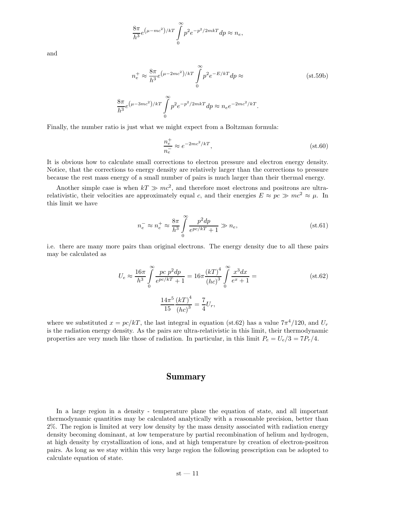$$
\frac{8\pi}{h^3}e^{\left(\mu-mc^2\right)/kT}\int\limits_{0}^{\infty}p^2e^{-p^2/2mkT}dp\approx n_e,
$$

and

$$
n_e^+ \approx \frac{8\pi}{h^3} e^{(\mu - 2mc^2)/kT} \int_0^\infty p^2 e^{-E/kT} dp \approx
$$
 (st.59b)

$$
\frac{8\pi}{h^3}e^{\left(\mu-3mc^2\right)/kT}\int\limits_0^\infty p^2e^{-p^2/2mkT}dp\approx n_ee^{-2mc^2/kT}.
$$

Finally, the number ratio is just what we might expect from a Boltzman formula:

$$
\frac{n_e^+}{n_e^-} \approx e^{-2mc^2/kT},\tag{st.60}
$$

It is obvious how to calculate small corrections to electron pressure and electron energy density. Notice, that the corrections to energy density are relatively larger than the corrections to pressure because the rest mass energy of a small number of pairs is much larger than their thermal energy.

Another simple case is when  $kT \gg mc^2$ , and therefore most electrons and positrons are ultrarelativistic, their velocities are approximately equal c, and their energies  $E \approx pc \gg mc^2 \approx \mu$ . In this limit we have

$$
n_e^- \approx n_e^+ \approx \frac{8\pi}{h^3} \int_0^\infty \frac{p^2 dp}{e^{pc/kT} + 1} \gg n_e,
$$
 (st.61)

i.e. there are many more pairs than original electrons. The energy density due to all these pairs may be calculated as

$$
U_e \approx \frac{16\pi}{h^3} \int_0^\infty \frac{pc \ p^2 dp}{e^{pc/kT} + 1} = 16\pi \frac{(kT)^4}{(hc)^3} \int_0^\infty \frac{x^3 dx}{e^x + 1} =
$$
\n
$$
\frac{14\pi^5}{15} \frac{(kT)^4}{(hc)^3} = \frac{7}{4} U_r,
$$
\n(st.62)

where we substituted  $x = pc/kT$ , the last integral in equation (st.62) has a value  $7\pi^4/120$ , and  $U_r$ is the radiation energy density. As the pairs are ultra-relativistic in this limit, their thermodynamic properties are very much like those of radiation. In particular, in this limit  $P_e = U_e/3 = 7P_r/4$ .

#### Summary

In a large region in a density - temperature plane the equation of state, and all important thermodynamic quantities may be calculated analytically with a reasonable precision, better than 2%. The region is limited at very low density by the mass density associated with radiation energy density becoming dominant, at low temperature by partial recombination of helium and hydrogen, at high density by crystallization of ions, and at high temperature by creation of electron-positron pairs. As long as we stay within this very large region the following prescription can be adopted to calculate equation of state.